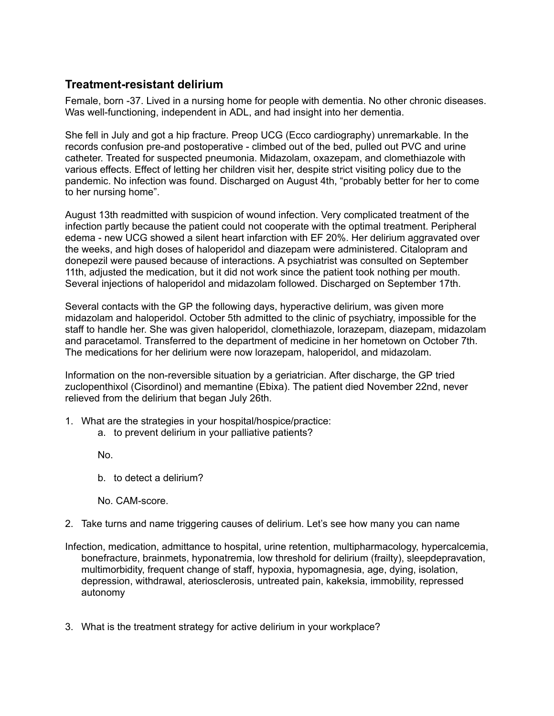## **Treatment-resistant delirium**

Female, born -37. Lived in a nursing home for people with dementia. No other chronic diseases. Was well-functioning, independent in ADL, and had insight into her dementia.

She fell in July and got a hip fracture. Preop UCG (Ecco cardiography) unremarkable. In the records confusion pre-and postoperative - climbed out of the bed, pulled out PVC and urine catheter. Treated for suspected pneumonia. Midazolam, oxazepam, and clomethiazole with various effects. Effect of letting her children visit her, despite strict visiting policy due to the pandemic. No infection was found. Discharged on August 4th, "probably better for her to come to her nursing home".

August 13th readmitted with suspicion of wound infection. Very complicated treatment of the infection partly because the patient could not cooperate with the optimal treatment. Peripheral edema - new UCG showed a silent heart infarction with EF 20%. Her delirium aggravated over the weeks, and high doses of haloperidol and diazepam were administered. Citalopram and donepezil were paused because of interactions. A psychiatrist was consulted on September 11th, adjusted the medication, but it did not work since the patient took nothing per mouth. Several injections of haloperidol and midazolam followed. Discharged on September 17th.

Several contacts with the GP the following days, hyperactive delirium, was given more midazolam and haloperidol. October 5th admitted to the clinic of psychiatry, impossible for the staff to handle her. She was given haloperidol, clomethiazole, lorazepam, diazepam, midazolam and paracetamol. Transferred to the department of medicine in her hometown on October 7th. The medications for her delirium were now lorazepam, haloperidol, and midazolam.

Information on the non-reversible situation by a geriatrician. After discharge, the GP tried zuclopenthixol (Cisordinol) and memantine (Ebixa). The patient died November 22nd, never relieved from the delirium that began July 26th.

- 1. What are the strategies in your hospital/hospice/practice:
	- a. to prevent delirium in your palliative patients?

No.

b. to detect a delirium?

No. CAM-score.

- 2. Take turns and name triggering causes of delirium. Let's see how many you can name
- Infection, medication, admittance to hospital, urine retention, multipharmacology, hypercalcemia, bonefracture, brainmets, hyponatremia, low threshold for delirium (frailty), sleepdepravation, multimorbidity, frequent change of staff, hypoxia, hypomagnesia, age, dying, isolation, depression, withdrawal, ateriosclerosis, untreated pain, kakeksia, immobility, repressed autonomy
- 3. What is the treatment strategy for active delirium in your workplace?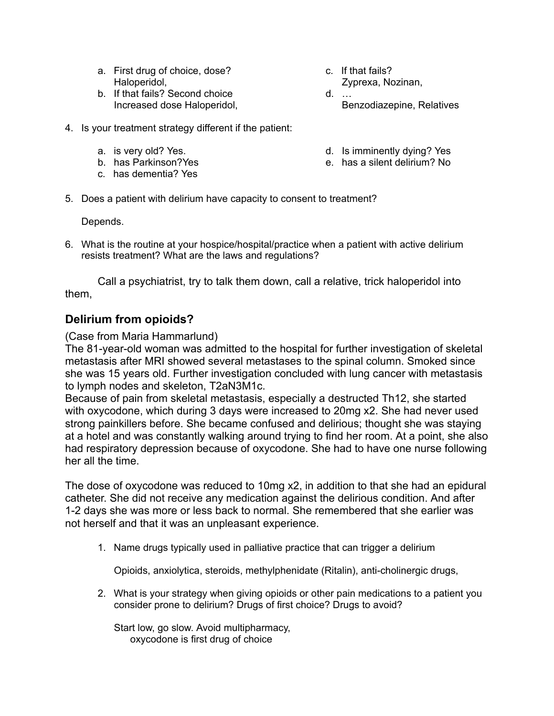- a. First drug of choice, dose? Haloperidol,
- b. If that fails? Second choice Increased dose Haloperidol,
- c. If that fails? Zyprexa, Nozinan,
- d. … Benzodiazepine, Relatives
- 4. Is your treatment strategy different if the patient:
	- a. is very old? Yes.
	- b. has Parkinson?Yes
	- c. has dementia? Yes
- d. Is imminently dying? Yes
- e. has a silent delirium? No
- 5. Does a patient with delirium have capacity to consent to treatment?

Depends.

6. What is the routine at your hospice/hospital/practice when a patient with active delirium resists treatment? What are the laws and regulations?

Call a psychiatrist, try to talk them down, call a relative, trick haloperidol into them,

## **Delirium from opioids?**

(Case from Maria Hammarlund)

The 81-year-old woman was admitted to the hospital for further investigation of skeletal metastasis after MRI showed several metastases to the spinal column. Smoked since she was 15 years old. Further investigation concluded with lung cancer with metastasis to lymph nodes and skeleton, T2aN3M1c.

Because of pain from skeletal metastasis, especially a destructed Th12, she started with oxycodone, which during 3 days were increased to 20mg x2. She had never used strong painkillers before. She became confused and delirious; thought she was staying at a hotel and was constantly walking around trying to find her room. At a point, she also had respiratory depression because of oxycodone. She had to have one nurse following her all the time.

The dose of oxycodone was reduced to 10mg x2, in addition to that she had an epidural catheter. She did not receive any medication against the delirious condition. And after 1-2 days she was more or less back to normal. She remembered that she earlier was not herself and that it was an unpleasant experience.

1. Name drugs typically used in palliative practice that can trigger a delirium

Opioids, anxiolytica, steroids, methylphenidate (Ritalin), anti-cholinergic drugs,

2. What is your strategy when giving opioids or other pain medications to a patient you consider prone to delirium? Drugs of first choice? Drugs to avoid?

Start low, go slow. Avoid multipharmacy, oxycodone is first drug of choice